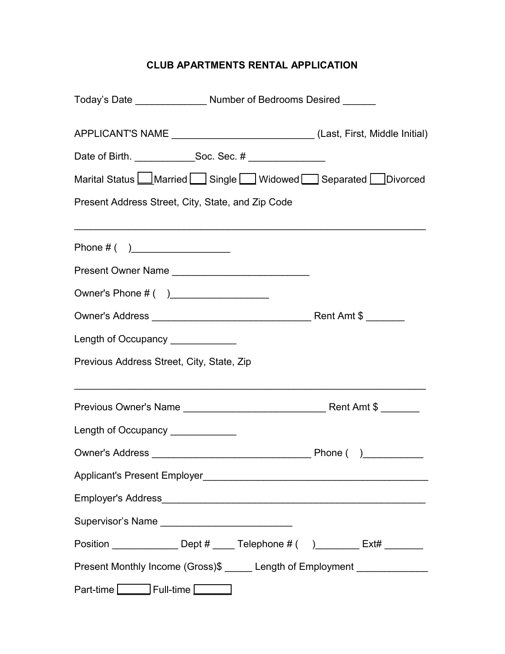# **CLUB APARTMENTS RENTAL APPLICATION**

| Today's Date ___________________ Number of Bedrooms Desired _______            |  |  |
|--------------------------------------------------------------------------------|--|--|
| APPLICANT'S NAME _____________________________(Last, First, Middle Initial)    |  |  |
|                                                                                |  |  |
| Marital Status Married Single Widowed Separated Divorced                       |  |  |
| Present Address Street, City, State, and Zip Code                              |  |  |
| Phone # $($ )                                                                  |  |  |
| Present Owner Name                                                             |  |  |
| Owner's Phone # ()                                                             |  |  |
|                                                                                |  |  |
| Length of Occupancy ____________                                               |  |  |
| Previous Address Street, City, State, Zip                                      |  |  |
|                                                                                |  |  |
| Length of Occupancy                                                            |  |  |
|                                                                                |  |  |
|                                                                                |  |  |
|                                                                                |  |  |
|                                                                                |  |  |
| Position _________________ Dept # _____ Telephone # ( ) ________ Ext# ________ |  |  |
| Present Monthly Income (Gross)\$ ______ Length of Employment ______________    |  |  |
| Part-time Full-time Full-time                                                  |  |  |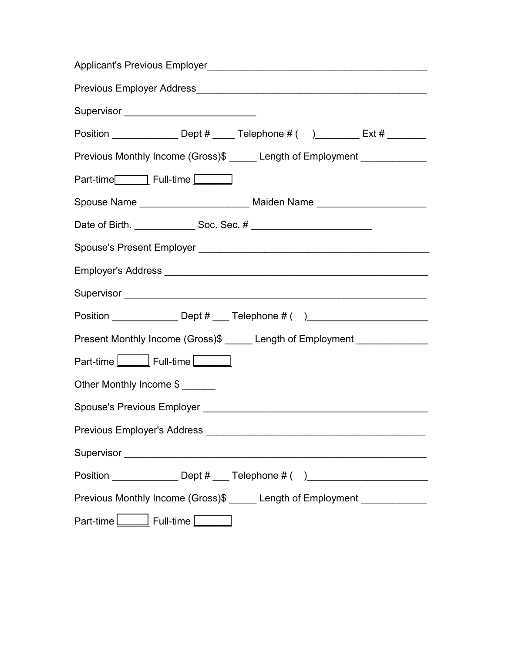| Supervisor _____________________________                                         |  |  |  |
|----------------------------------------------------------------------------------|--|--|--|
| Position _________________ Dept # _____ Telephone # ( ) ________ Ext # ________  |  |  |  |
| Previous Monthly Income (Gross)\$ _____ Length of Employment _____________       |  |  |  |
| Part-time <b>com</b> Full-time                                                   |  |  |  |
| Spouse Name ________________________________ Maiden Name _______________________ |  |  |  |
|                                                                                  |  |  |  |
|                                                                                  |  |  |  |
|                                                                                  |  |  |  |
|                                                                                  |  |  |  |
| Position ________________ Dept # ____ Telephone # ( )___________________________ |  |  |  |
| Present Monthly Income (Gross)\$ ______ Length of Employment ______________      |  |  |  |
| Part-time <u>Late Bull-time</u>                                                  |  |  |  |
| Other Monthly Income \$                                                          |  |  |  |
|                                                                                  |  |  |  |
|                                                                                  |  |  |  |
|                                                                                  |  |  |  |
| Position ________________ Dept # ____ Telephone # ()____________________________ |  |  |  |
| Previous Monthly Income (Gross)\$ _____ Length of Employment _____________       |  |  |  |
| Part-time Full-time                                                              |  |  |  |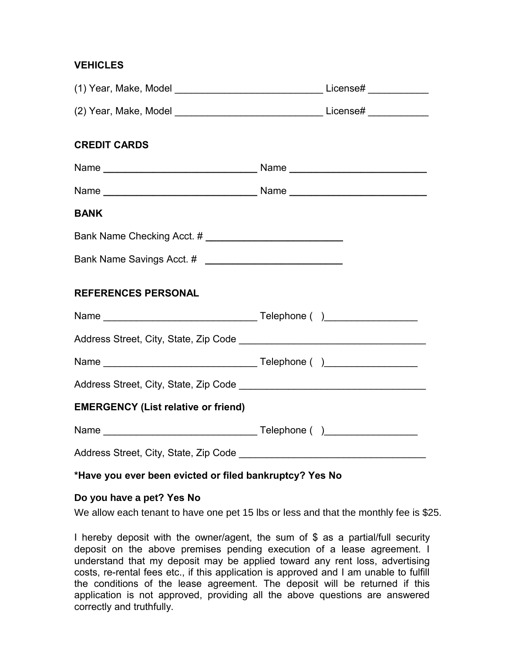### **VEHICLES**

| <b>CREDIT CARDS</b>                        |  |
|--------------------------------------------|--|
|                                            |  |
|                                            |  |
| <b>BANK</b>                                |  |
|                                            |  |
|                                            |  |
| <b>REFERENCES PERSONAL</b>                 |  |
|                                            |  |
|                                            |  |
|                                            |  |
|                                            |  |
| <b>EMERGENCY (List relative or friend)</b> |  |
|                                            |  |
|                                            |  |

#### **\*Have you ever been evicted or filed bankruptcy? Yes No**

#### **Do you have a pet? Yes No**

We allow each tenant to have one pet 15 lbs or less and that the monthly fee is \$25.

I hereby deposit with the owner/agent, the sum of \$ as a partial/full security deposit on the above premises pending execution of a lease agreement. I understand that my deposit may be applied toward any rent loss, advertising costs, re-rental fees etc., if this application is approved and I am unable to fulfill the conditions of the lease agreement. The deposit will be returned if this application is not approved, providing all the above questions are answered correctly and truthfully.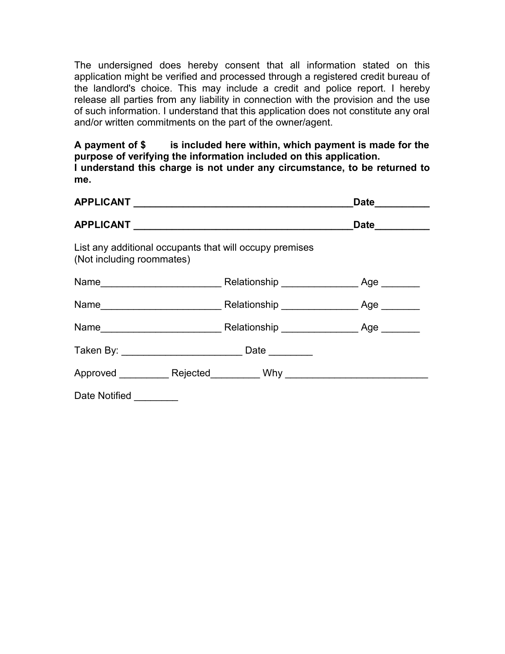The undersigned does hereby consent that all information stated on this application might be verified and processed through a registered credit bureau of the landlord's choice. This may include a credit and police report. I hereby release all parties from any liability in connection with the provision and the use of such information. I understand that this application does not constitute any oral and/or written commitments on the part of the owner/agent.

**A payment of \$ is included here within, which payment is made for the purpose of verifying the information included on this application. I understand this charge is not under any circumstance, to be returned to me.**

|                           |                                                         | Date__________ |
|---------------------------|---------------------------------------------------------|----------------|
|                           |                                                         | Date_________  |
| (Not including roommates) | List any additional occupants that will occupy premises |                |
|                           |                                                         | Age            |
|                           |                                                         |                |
|                           |                                                         |                |
|                           |                                                         |                |
|                           |                                                         |                |
| Date Notified _______     |                                                         |                |